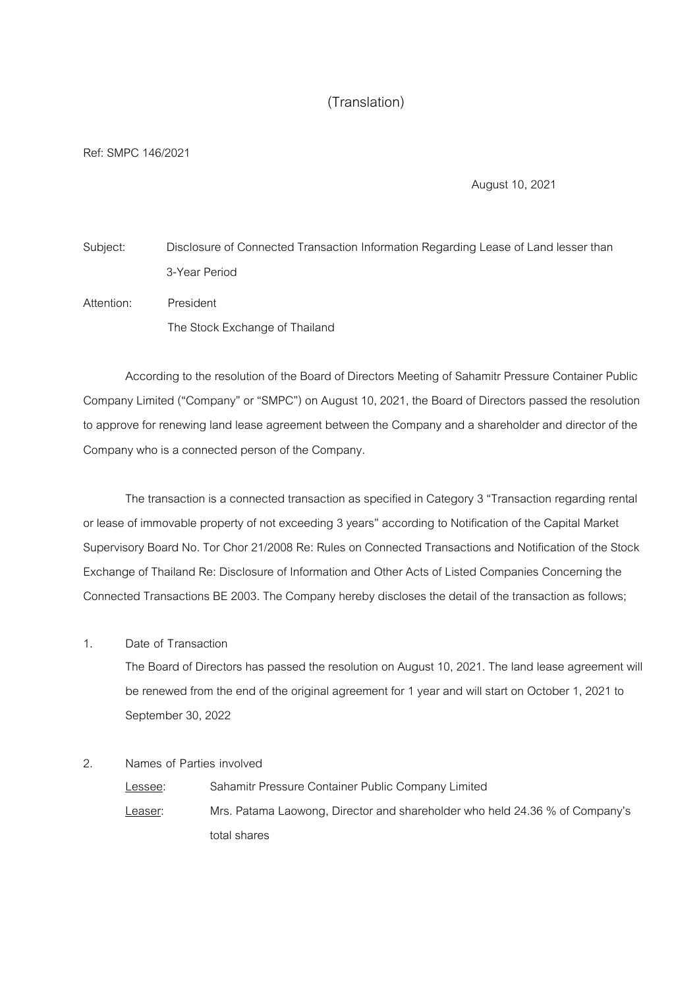# (Translation)

Ref: SMPC 146/2021

August 10, 2021

Subject: Disclosure of Connected Transaction Information Regarding Lease of Land lesser than 3-Year Period Attention: President

The Stock Exchange of Thailand

According to the resolution of the Board of Directors Meeting of Sahamitr Pressure Container Public Company Limited ("Company" or "SMPC") on August 10, 2021, the Board of Directors passed the resolution to approve for renewing land lease agreement between the Company and a shareholder and director of the Company who is a connected person of the Company.

The transaction is a connected transaction as specified in Category 3 "Transaction regarding rental or lease of immovable property of not exceeding 3 years" according to Notification of the Capital Market Supervisory Board No. Tor Chor 21/2008 Re: Rules on Connected Transactions and Notification of the Stock Exchange of Thailand Re: Disclosure of Information and Other Acts of Listed Companies Concerning the Connected Transactions BE 2003. The Company hereby discloses the detail of the transaction as follows;

### 1. Date of Transaction

The Board of Directors has passed the resolution on August 10, 2021. The land lease agreement will be renewed from the end of the original agreement for 1 year and will start on October 1, 2021 to September 30, 2022

2. Names of Parties involved

Lessee: Sahamitr Pressure Container Public Company Limited Leaser: Mrs. Patama Laowong, Director and shareholder who held 24.36 % of Company's total shares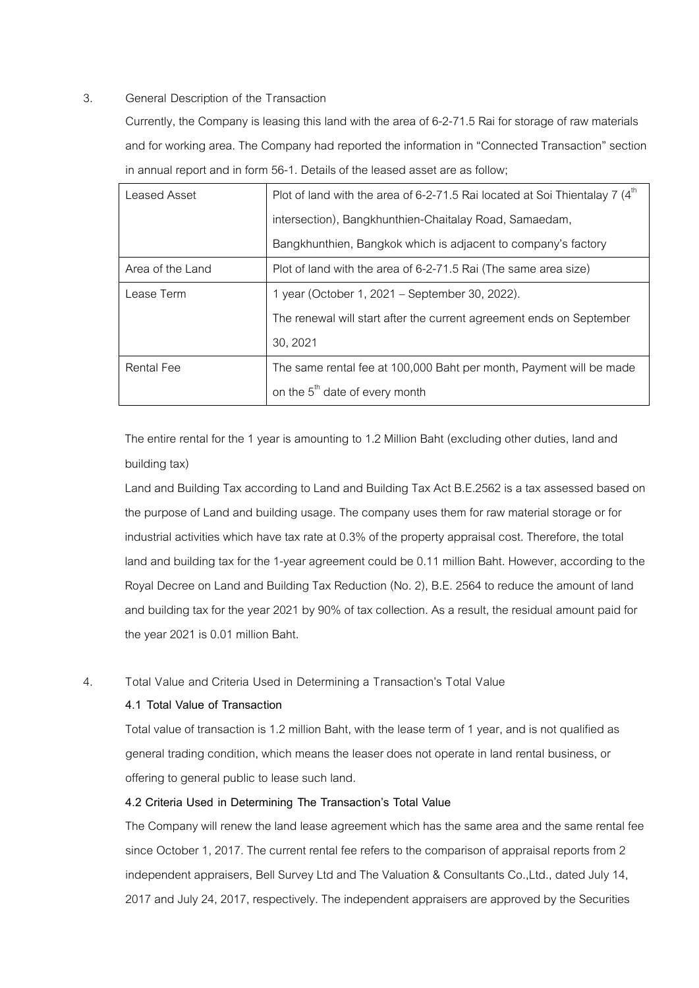### 3. General Description of the Transaction

Currently, the Company is leasing this land with the area of 6-2-71.5 Rai for storage of raw materials and for working area. The Company had reported the information in "Connected Transaction" section in annual report and in form 56-1. Details of the leased asset are as follow;

| Leased Asset      | Plot of land with the area of 6-2-71.5 Rai located at Soi Thientalay 7 $(4th$ |  |  |
|-------------------|-------------------------------------------------------------------------------|--|--|
|                   | intersection), Bangkhunthien-Chaitalay Road, Samaedam,                        |  |  |
|                   | Bangkhunthien, Bangkok which is adjacent to company's factory                 |  |  |
| Area of the Land  | Plot of land with the area of 6-2-71.5 Rai (The same area size)               |  |  |
| Lease Term        | 1 year (October 1, 2021 – September 30, 2022).                                |  |  |
|                   | The renewal will start after the current agreement ends on September          |  |  |
|                   | 30, 2021                                                                      |  |  |
| <b>Rental Fee</b> | The same rental fee at 100,000 Baht per month, Payment will be made           |  |  |
|                   | on the $5th$ date of every month                                              |  |  |

The entire rental for the 1 year is amounting to 1.2 Million Baht (excluding other duties, land and building tax)

Land and Building Tax according to Land and Building Tax Act B.E.2562 is a tax assessed based on the purpose of Land and building usage. The company uses them for raw material storage or for industrial activities which have tax rate at 0.3% of the property appraisal cost. Therefore, the total land and building tax for the 1-year agreement could be 0.11 million Baht. However, according to the Royal Decree on Land and Building Tax Reduction (No. 2), B.E. 2564 to reduce the amount of land and building tax for the year 2021 by 90% of tax collection. As a result, the residual amount paid for the year 2021 is 0.01 million Baht.

### 4. Total Value and Criteria Used in Determining a Transaction's Total Value

#### *4.1 Total Value of Transaction*

Total value of transaction is 1.2 million Baht, with the lease term of 1 year, and is not qualified as general trading condition, which means the leaser does not operate in land rental business, or offering to general public to lease such land.

## *4.2 Criteria Used in Determining The Transaction's Total Value*

The Company will renew the land lease agreement which has the same area and the same rental fee since October 1, 2017. The current rental fee refers to the comparison of appraisal reports from 2 independent appraisers, Bell Survey Ltd and The Valuation & Consultants Co.,Ltd., dated July 14, 2017 and July 24, 2017, respectively. The independent appraisers are approved by the Securities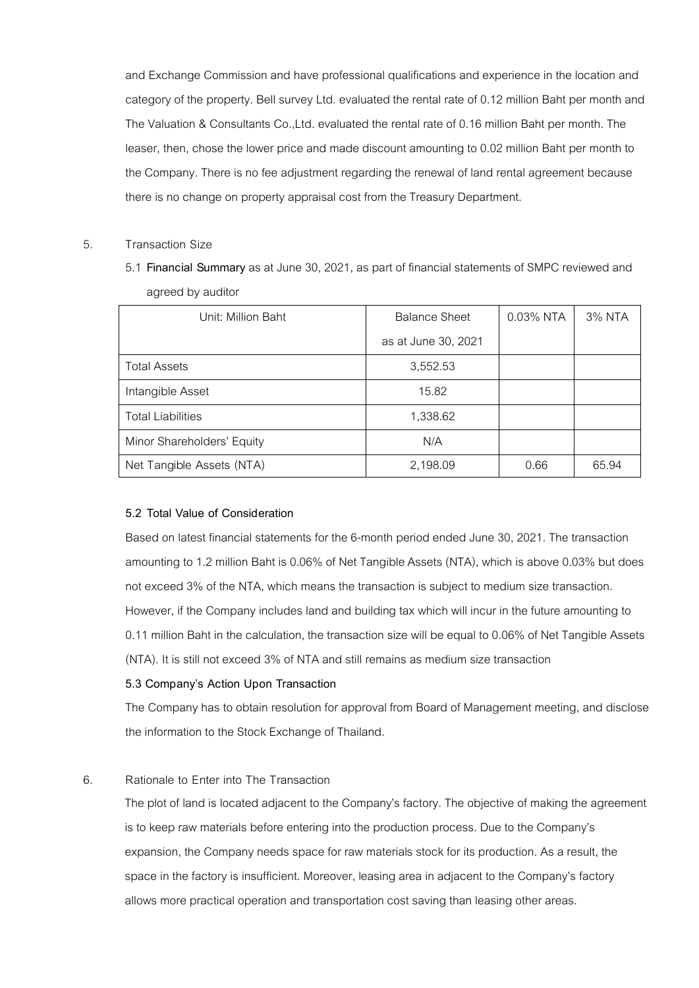and Exchange Commission and have professional qualifications and experience in the location and category of the property. Bell survey Ltd. evaluated the rental rate of 0.12 million Baht per month and The Valuation & Consultants Co.,Ltd. evaluated the rental rate of 0.16 million Baht per month. The leaser, then, chose the lower price and made discount amounting to 0.02 million Baht per month to the Company. There is no fee adjustment regarding the renewal of land rental agreement because there is no change on property appraisal cost from the Treasury Department.

### 5. Transaction Size

5.1 *Financial Summary* as at June 30, 2021, as part of financial statements of SMPC reviewed and agreed by auditor

| Unit: Million Baht         | <b>Balance Sheet</b> | 0.03% NTA | 3% NTA |
|----------------------------|----------------------|-----------|--------|
|                            | as at June 30, 2021  |           |        |
| <b>Total Assets</b>        | 3,552.53             |           |        |
| Intangible Asset           | 15.82                |           |        |
| <b>Total Liabilities</b>   | 1,338.62             |           |        |
| Minor Shareholders' Equity | N/A                  |           |        |
| Net Tangible Assets (NTA)  | 2,198.09             | 0.66      | 65.94  |

### *5.2 Total Value of Consideration*

Based on latest financial statements for the 6-month period ended June 30, 2021. The transaction amounting to 1.2 million Baht is 0.06% of Net Tangible Assets (NTA), which is above 0.03% but does not exceed 3% of the NTA, which means the transaction is subject to medium size transaction. However, if the Company includes land and building tax which will incur in the future amounting to 0.11 million Baht in the calculation, the transaction size will be equal to 0.06% of Net Tangible Assets (NTA). It is still not exceed 3% of NTA and still remains as medium size transaction

#### *5.3 Company's Action Upon Transaction*

The Company has to obtain resolution for approval from Board of Management meeting, and disclose the information to the Stock Exchange of Thailand.

### 6. Rationale to Enter into The Transaction

The plot of land is located adjacent to the Company's factory. The objective of making the agreement is to keep raw materials before entering into the production process. Due to the Company's expansion, the Company needs space for raw materials stock for its production. As a result, the space in the factory is insufficient. Moreover, leasing area in adjacent to the Company's factory allows more practical operation and transportation cost saving than leasing other areas.